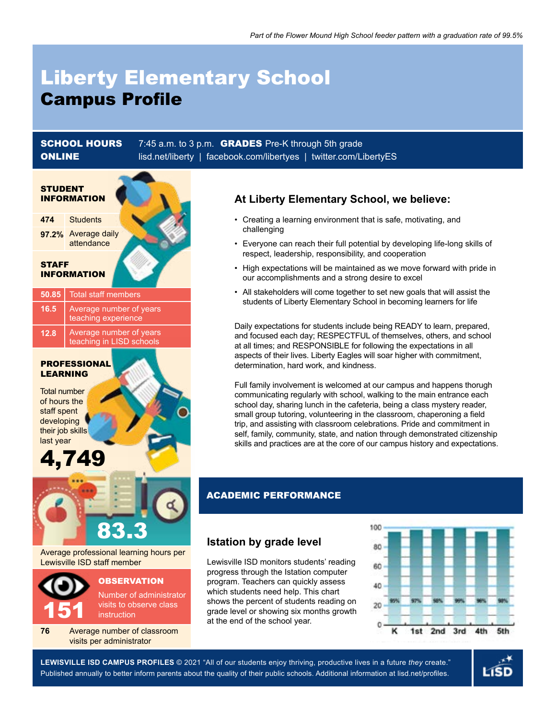# Liberty Elementary School Campus Profile

**SCHOOL HOURS** 7:45 a.m. to 3 p.m. **GRADES** Pre-K through 5th grade **ONLINE** [lisd.net/liberty](http://lisd.net/liberty) | [facebook.com/libertyes](http://facebook.com/libertyes) | [twitter.com/LibertyES](http://twitter.com/LibertyES)



# **At Liberty Elementary School, we believe:**

- Creating a learning environment that is safe, motivating, and challenging
- Everyone can reach their full potential by developing life-long skills of respect, leadership, responsibility, and cooperation
- High expectations will be maintained as we move forward with pride in our accomplishments and a strong desire to excel
- All stakeholders will come together to set new goals that will assist the students of Liberty Elementary School in becoming learners for life

Daily expectations for students include being READY to learn, prepared, and focused each day; RESPECTFUL of themselves, others, and school at all times; and RESPONSIBLE for following the expectations in all aspects of their lives. Liberty Eagles will soar higher with commitment, determination, hard work, and kindness.

Full family involvement is welcomed at our campus and happens thorugh communicating regularly with school, walking to the main entrance each school day, sharing lunch in the cafeteria, being a class mystery reader, small group tutoring, volunteering in the classroom, chaperoning a field trip, and assisting with classroom celebrations. Pride and commitment in self, family, community, state, and nation through demonstrated citizenship skills and practices are at the core of our campus history and expectations.

### ACADEMIC PERFORMANCE

## **Istation by grade level**

Lewisville ISD monitors students' reading progress through the Istation computer program. Teachers can quickly assess which students need help. This chart shows the percent of students reading on grade level or showing six months growth at the end of the school year.



**LEWISVILLE ISD CAMPUS PROFILES** © **2021** "All of our students enjoy thriving, productive lives in a future *they* create." 2021 Published annually to better inform parents about the quality of their public schools. Additional information at lisd.net/profiles.